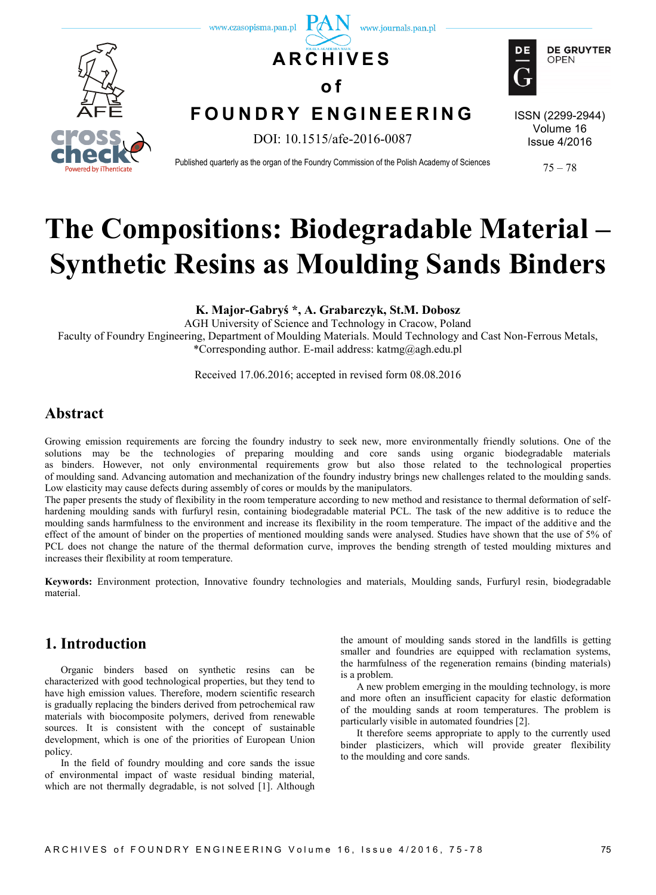

# **The Compositions: Biodegradable Material – Synthetic Resins as Moulding Sands Binders**

**K. Major-Gabryś \*, A. Grabarczyk, St.M. Dobosz**

AGH University of Science and Technology in Cracow, Poland Faculty of Foundry Engineering, Department of Moulding Materials. Mould Technology and Cast Non-Ferrous Metals, \*Corresponding author. E-mail address: katmg@agh.edu.pl

Received 17.06.2016; accepted in revised form 08.08.2016

# **Abstract**

Growing emission requirements are forcing the foundry industry to seek new, more environmentally friendly solutions. One of the solutions may be the technologies of preparing moulding and core sands using organic biodegradable materials as binders. However, not only environmental requirements grow but also those related to the technological properties of moulding sand. Advancing automation and mechanization of the foundry industry brings new challenges related to the moulding sands. Low elasticity may cause defects during assembly of cores or moulds by the manipulators.

The paper presents the study of flexibility in the room temperature according to new method and resistance to thermal deformation of selfhardening moulding sands with furfuryl resin, containing biodegradable material PCL. The task of the new additive is to reduce the moulding sands harmfulness to the environment and increase its flexibility in the room temperature. The impact of the additive and the effect of the amount of binder on the properties of mentioned moulding sands were analysed. Studies have shown that the use of 5% of PCL does not change the nature of the thermal deformation curve, improves the bending strength of tested moulding mixtures and increases their flexibility at room temperature.

**Keywords:** Environment protection, Innovative foundry technologies and materials, Moulding sands, Furfuryl resin, biodegradable material.

## **1. Introduction**

Organic binders based on synthetic resins can be characterized with good technological properties, but they tend to have high emission values. Therefore, modern scientific research is gradually replacing the binders derived from petrochemical raw materials with biocomposite polymers, derived from renewable sources. It is consistent with the concept of sustainable development, which is one of the priorities of European Union policy.

In the field of foundry moulding and core sands the issue of environmental impact of waste residual binding material, which are not thermally degradable, is not solved [1]. Although

the amount of moulding sands stored in the landfills is getting smaller and foundries are equipped with reclamation systems, the harmfulness of the regeneration remains (binding materials) is a problem.

A new problem emerging in the moulding technology, is more and more often an insufficient capacity for elastic deformation of the moulding sands at room temperatures. The problem is particularly visible in automated foundries [2].

It therefore seems appropriate to apply to the currently used binder plasticizers, which will provide greater flexibility to the moulding and core sands.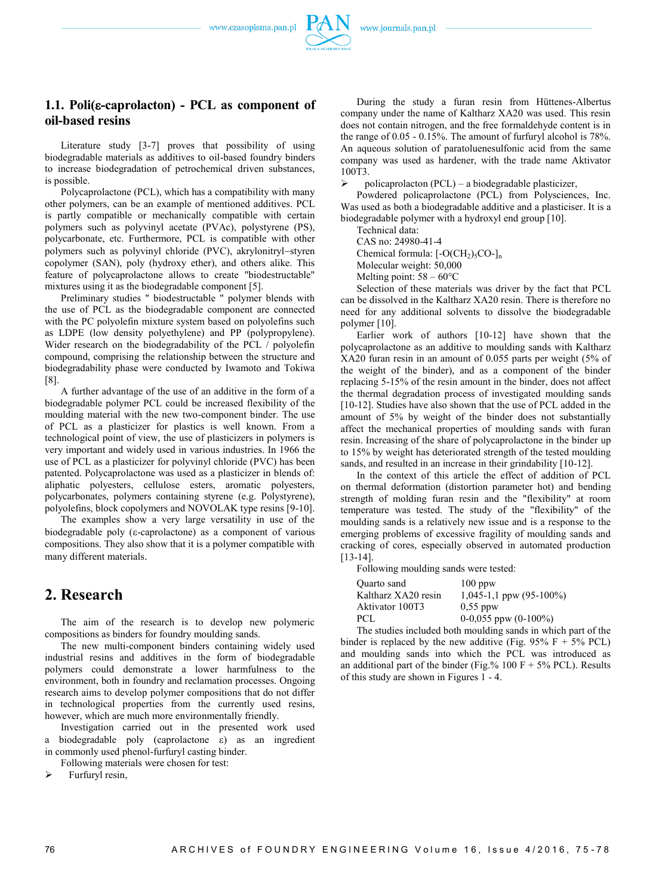www.czasopisma.pan.pl



#### **1.1. Poli(-caprolacton) - PCL as component of oil-based resins**

Literature study [3-7] proves that possibility of using biodegradable materials as additives to oil-based foundry binders to increase biodegradation of petrochemical driven substances, is possible.

Polycaprolactone (PCL), which has a compatibility with many other polymers, can be an example of mentioned additives. PCL is partly compatible or mechanically compatible with certain polymers such as polyvinyl acetate (PVAc), polystyrene (PS), polycarbonate, etc. Furthermore, PCL is compatible with other polymers such as polyvinyl chloride (PVC), akrylonitryl-styren copolymer (SAN), poly (hydroxy ether), and others alike. This feature of polycaprolactone allows to create "biodestructable" mixtures using it as the biodegradable component [5].

Preliminary studies " biodestructable " polymer blends with the use of PCL as the biodegradable component are connected with the PC polyolefin mixture system based on polyolefins such as LDPE (low density polyethylene) and PP (polypropylene). Wider research on the biodegradability of the PCL / polyolefin compound, comprising the relationship between the structure and biodegradability phase were conducted by Iwamoto and Tokiwa [8].

A further advantage of the use of an additive in the form of a biodegradable polymer PCL could be increased flexibility of the moulding material with the new two-component binder. The use of PCL as a plasticizer for plastics is well known. From a technological point of view, the use of plasticizers in polymers is very important and widely used in various industries. In 1966 the use of PCL as a plasticizer for polyvinyl chloride (PVC) has been patented. Polycaprolactone was used as a plasticizer in blends of: aliphatic polyesters, cellulose esters, aromatic polyesters, polycarbonates, polymers containing styrene (e.g. Polystyrene), polyolefins, block copolymers and NOVOLAK type resins [9-10].

The examples show a very large versatility in use of the biodegradable poly ( $\varepsilon$ -caprolactone) as a component of various compositions. They also show that it is a polymer compatible with many different materials.

## **2. Research**

The aim of the research is to develop new polymeric compositions as binders for foundry moulding sands.

The new multi-component binders containing widely used industrial resins and additives in the form of biodegradable polymers could demonstrate a lower harmfulness to the environment, both in foundry and reclamation processes. Ongoing research aims to develop polymer compositions that do not differ in technological properties from the currently used resins, however, which are much more environmentally friendly.

Investigation carried out in the presented work used a biodegradable poly (caprolactone  $\varepsilon$ ) as an ingredient in commonly used phenol-furfuryl casting binder.

Following materials were chosen for test:

 $\triangleright$  Furfuryl resin,

During the study a furan resin from Hüttenes-Albertus company under the name of Kaltharz XA20 was used. This resin does not contain nitrogen, and the free formaldehyde content is in the range of 0.05 - 0.15%. The amount of furfuryl alcohol is 78%. An aqueous solution of paratoluenesulfonic acid from the same company was used as hardener, with the trade name Aktivator 100T3.

policaprolacton (PCL) – a biodegradable plasticizer,

Powdered policaprolactone (PCL) from Polysciences, Inc. Was used as both a biodegradable additive and a plasticiser. It is a biodegradable polymer with a hydroxyl end group [10].

Technical data:

CAS no: 24980-41-4

Chemical formula:  $[-O(CH<sub>2</sub>)<sub>5</sub>CO-]<sub>n</sub>$ Molecular weight: 50,000

Melting point:  $58 - 60^{\circ}$ C

Selection of these materials was driver by the fact that PCL can be dissolved in the Kaltharz XA20 resin. There is therefore no need for any additional solvents to dissolve the biodegradable polymer [10].

Earlier work of authors [10-12] have shown that the polycaprolactone as an additive to moulding sands with Kaltharz XA20 furan resin in an amount of 0.055 parts per weight (5% of the weight of the binder), and as a component of the binder replacing 5-15% of the resin amount in the binder, does not affect the thermal degradation process of investigated moulding sands [10-12]. Studies have also shown that the use of PCL added in the amount of 5% by weight of the binder does not substantially affect the mechanical properties of moulding sands with furan resin. Increasing of the share of polycaprolactone in the binder up to 15% by weight has deteriorated strength of the tested moulding sands, and resulted in an increase in their grindability [10-12].

In the context of this article the effect of addition of PCL on thermal deformation (distortion parameter hot) and bending strength of molding furan resin and the "flexibility" at room temperature was tested. The study of the "flexibility" of the moulding sands is a relatively new issue and is a response to the emerging problems of excessive fragility of moulding sands and cracking of cores, especially observed in automated production [13-14].

Following moulding sands were tested:

| Quarto sand         | $100$ ppw                    |
|---------------------|------------------------------|
| Kaltharz XA20 resin | $1,045-1,1$ ppw $(95-100\%)$ |
| Aktivator 100T3     | $0.55$ ppw                   |
| PCL                 | $0-0.055$ ppw $(0-100\%)$    |
|                     |                              |

The studies included both moulding sands in which part of the binder is replaced by the new additive (Fig. 95%  $F + 5%$  PCL) and moulding sands into which the PCL was introduced as an additional part of the binder (Fig.% 100 F + 5% PCL). Results of this study are shown in Figures 1 - 4.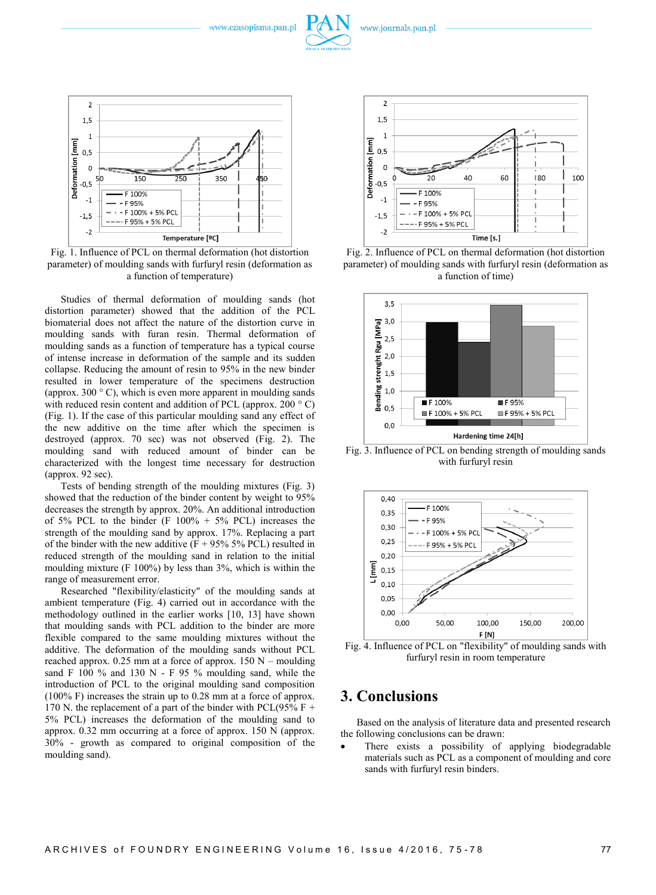www.czasopisma.pan.pl



Fig. 1. Influence of PCL on thermal deformation (hot distortion parameter) of moulding sands with furfuryl resin (deformation as a function of temperature)

Studies of thermal deformation of moulding sands (hot distortion parameter) showed that the addition of the PCL biomaterial does not affect the nature of the distortion curve in moulding sands with furan resin. Thermal deformation of moulding sands as a function of temperature has a typical course of intense increase in deformation of the sample and its sudden collapse. Reducing the amount of resin to 95% in the new binder resulted in lower temperature of the specimens destruction (approx. 300  $\degree$  C), which is even more apparent in moulding sands with reduced resin content and addition of PCL (approx. 200 °C) (Fig. 1). If the case of this particular moulding sand any effect of the new additive on the time after which the specimen is destroyed (approx. 70 sec) was not observed (Fig. 2). The moulding sand with reduced amount of binder can be characterized with the longest time necessary for destruction (approx. 92 sec).

Tests of bending strength of the moulding mixtures (Fig. 3) showed that the reduction of the binder content by weight to 95% decreases the strength by approx. 20%. An additional introduction of 5% PCL to the binder (F  $100\% + 5\%$  PCL) increases the strength of the moulding sand by approx. 17%. Replacing a part of the binder with the new additive  $(F + 95\% 5\% PCL)$  resulted in reduced strength of the moulding sand in relation to the initial moulding mixture (F 100%) by less than 3%, which is within the range of measurement error.

Researched "flexibility/elasticity" of the moulding sands at ambient temperature (Fig. 4) carried out in accordance with the methodology outlined in the earlier works [10, 13] have shown that moulding sands with PCL addition to the binder are more flexible compared to the same moulding mixtures without the additive. The deformation of the moulding sands without PCL reached approx.  $0.25$  mm at a force of approx.  $150$  N – moulding sand F 100 % and 130 N - F 95 % moulding sand, while the introduction of PCL to the original moulding sand composition (100% F) increases the strain up to 0.28 mm at a force of approx. 170 N. the replacement of a part of the binder with PCL(95% F + 5% PCL) increases the deformation of the moulding sand to approx. 0.32 mm occurring at a force of approx. 150 N (approx. 30% - growth as compared to original composition of the moulding sand).



Fig. 2. Influence of PCL on thermal deformation (hot distortion parameter) of moulding sands with furfuryl resin (deformation as a function of time)



Fig. 3. Influence of PCL on bending strength of moulding sands with furfuryl resin



Fig. 4. Influence of PCL on "flexibility" of moulding sands with furfuryl resin in room temperature

## **3. Conclusions**

Based on the analysis of literature data and presented research the following conclusions can be drawn:

 There exists a possibility of applying biodegradable materials such as PCL as a component of moulding and core sands with furfuryl resin binders.